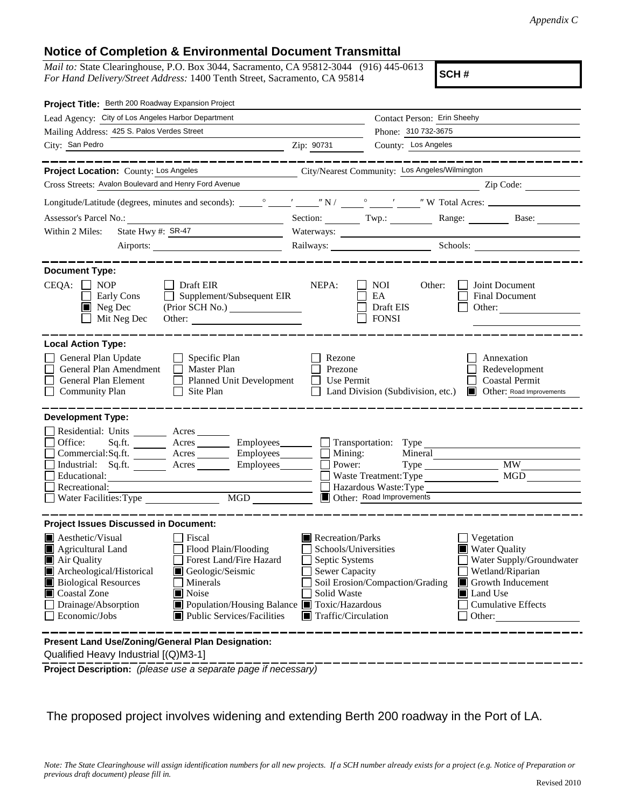## **Notice of Completion & Environmental Document Transmittal**

*Mail to:* State Clearinghouse, P.O. Box 3044, Sacramento, CA 95812-3044 (916) 445-0613 *For Hand Delivery/Street Address:* 1400 Tenth Street, Sacramento, CA 95814

**SCH #**

| Project Title: Berth 200 Roadway Expansion Project                                                                                                                                                                                                                                                                                                                           |                                                                                                                                          |                                                                                                                                    |                                                                                                                                                                                   |
|------------------------------------------------------------------------------------------------------------------------------------------------------------------------------------------------------------------------------------------------------------------------------------------------------------------------------------------------------------------------------|------------------------------------------------------------------------------------------------------------------------------------------|------------------------------------------------------------------------------------------------------------------------------------|-----------------------------------------------------------------------------------------------------------------------------------------------------------------------------------|
| Lead Agency: City of Los Angeles Harbor Department                                                                                                                                                                                                                                                                                                                           |                                                                                                                                          | Contact Person: Erin Sheehy                                                                                                        |                                                                                                                                                                                   |
| Mailing Address: 425 S. Palos Verdes Street                                                                                                                                                                                                                                                                                                                                  |                                                                                                                                          | Phone: 310 732-3675                                                                                                                |                                                                                                                                                                                   |
| City: San Pedro                                                                                                                                                                                                                                                                                                                                                              | Zip: 90731                                                                                                                               | County: Los Angeles                                                                                                                |                                                                                                                                                                                   |
|                                                                                                                                                                                                                                                                                                                                                                              |                                                                                                                                          |                                                                                                                                    |                                                                                                                                                                                   |
| Project Location: County: Los Angeles                                                                                                                                                                                                                                                                                                                                        |                                                                                                                                          | City/Nearest Community: Los Angeles/Wilmington                                                                                     |                                                                                                                                                                                   |
| Cross Streets: Avalon Boulevard and Henry Ford Avenue                                                                                                                                                                                                                                                                                                                        |                                                                                                                                          |                                                                                                                                    | Zip Code:                                                                                                                                                                         |
|                                                                                                                                                                                                                                                                                                                                                                              |                                                                                                                                          |                                                                                                                                    |                                                                                                                                                                                   |
|                                                                                                                                                                                                                                                                                                                                                                              |                                                                                                                                          |                                                                                                                                    | Section: Twp.: Range: Base:                                                                                                                                                       |
| State Hwy #: SR-47<br>Within 2 Miles:                                                                                                                                                                                                                                                                                                                                        |                                                                                                                                          |                                                                                                                                    |                                                                                                                                                                                   |
|                                                                                                                                                                                                                                                                                                                                                                              |                                                                                                                                          |                                                                                                                                    | Railways: Schools: Schools: Schools: 2001                                                                                                                                         |
| <b>Document Type:</b><br>$CEQA: \Box NP$<br>Draft EIR<br>Supplement/Subsequent EIR<br>Early Cons<br>$\blacksquare$ Neg Dec<br>Mit Neg Dec<br>Other:                                                                                                                                                                                                                          | NEPA:                                                                                                                                    | NOI.<br>Other:<br>EA<br>Draft EIS<br><b>FONSI</b>                                                                                  | Joint Document<br><b>Final Document</b><br>Other:                                                                                                                                 |
| <b>Local Action Type:</b><br>General Plan Update<br>Specific Plan<br>General Plan Amendment<br><b>Master Plan</b><br>General Plan Element<br><b>Planned Unit Development</b><br>Site Plan<br><b>Community Plan</b>                                                                                                                                                           | Rezone<br>Prezone<br>Use Permit                                                                                                          | Land Division (Subdivision, etc.)                                                                                                  | Annexation<br>Redevelopment<br><b>Coastal Permit</b><br><b>I</b> Other: Road Improvements                                                                                         |
| <b>Development Type:</b>                                                                                                                                                                                                                                                                                                                                                     |                                                                                                                                          |                                                                                                                                    |                                                                                                                                                                                   |
| Residential: Units<br>Acres<br>Office:<br>Sq.ft. $\qquad$<br>Acres ___________ Employees________<br>Commercial:Sq.ft. _______ Acres ________ Employees_______<br>Industrial: Sq.ft. ________ Acres _______<br>Educational:<br>Recreational:<br>$\overline{MGD}$<br>Water Facilities: Type                                                                                    |                                                                                                                                          | Transportation: Type<br>Mining:<br>Mineral<br>Power:<br>Waste Treatment: Type<br>Hazardous Waste: Type<br>Other: Road Improvements | $M\overline{W}$<br><b>MGD</b>                                                                                                                                                     |
| <b>Project Issues Discussed in Document:</b>                                                                                                                                                                                                                                                                                                                                 |                                                                                                                                          |                                                                                                                                    |                                                                                                                                                                                   |
| $\blacksquare$ Aesthetic/Visual<br>Fiscal<br>Flood Plain/Flooding<br>Agricultural Land<br>Air Quality<br>Forest Land/Fire Hazard<br>Archeological/Historical<br>Geologic/Seismic<br><b>Biological Resources</b><br>Minerals<br>Coastal Zone<br>Noise<br>Drainage/Absorption<br>■ Population/Housing Balance ■ Toxic/Hazardous<br>Public Services/Facilities<br>Economic/Jobs | Recreation/Parks<br>Schools/Universities<br>Septic Systems<br><b>Sewer Capacity</b><br>Solid Waste<br>$\blacksquare$ Traffic/Circulation | Soil Erosion/Compaction/Grading                                                                                                    | Vegetation<br><b>Water Quality</b><br>Water Supply/Groundwater<br>Wetland/Riparian<br>Growth Inducement<br><b>I</b> Land Use<br><b>Cumulative Effects</b><br>$\Box$ Other: $\Box$ |
| Present Land Use/Zoning/General Plan Designation:<br>Qualified Heavy Industrial [(Q)M3-1]                                                                                                                                                                                                                                                                                    |                                                                                                                                          |                                                                                                                                    |                                                                                                                                                                                   |

**Project Description:** *(please use a separate page if necessary)*

The proposed project involves widening and extending Berth 200 roadway in the Port of LA.